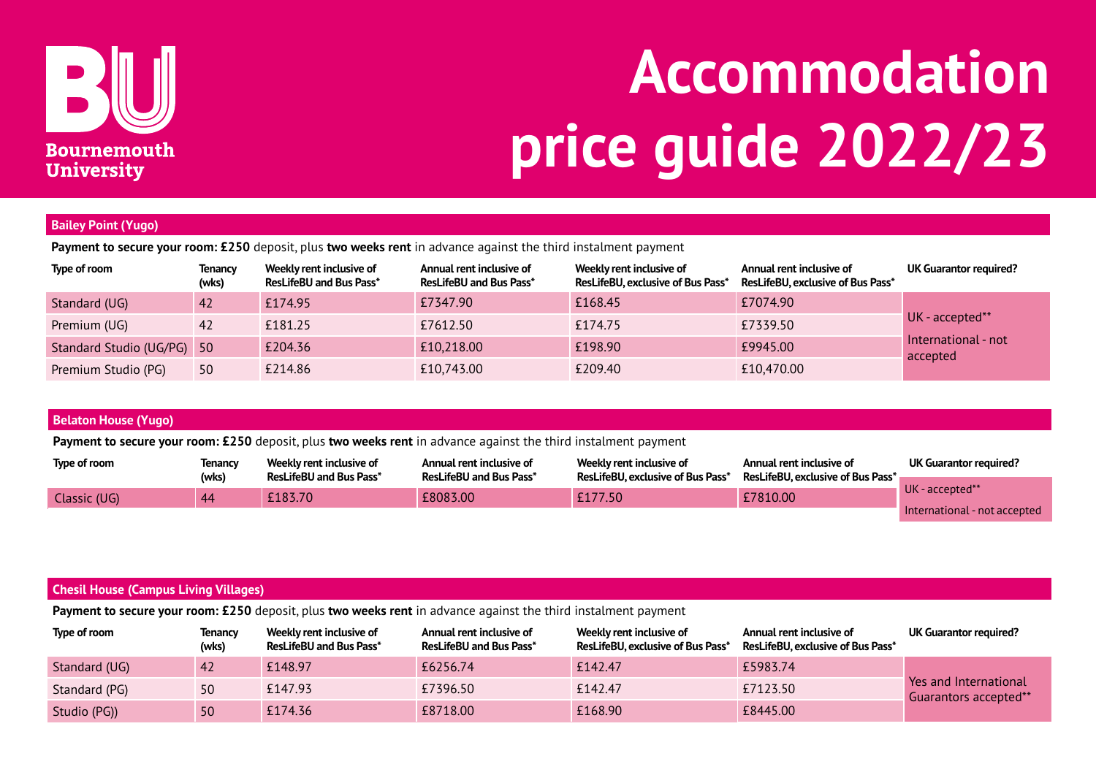

# **Accommodation price guide 2022/23**

## **Bailey Point (Yugo)**

**Payment to secure your room: £250** deposit, plus **two weeks rent** in advance against the third instalment payment

| Type of room               | <b>Tenancy</b><br>(wks) | Weekly rent inclusive of<br><b>ResLifeBU and Bus Pass*</b> | Annual rent inclusive of<br><b>ResLifeBU and Bus Pass*</b> | Weekly rent inclusive of<br>ResLifeBU, exclusive of Bus Pass* | Annual rent inclusive of<br>ResLifeBU, exclusive of Bus Pass* | UK Guarantor required?          |
|----------------------------|-------------------------|------------------------------------------------------------|------------------------------------------------------------|---------------------------------------------------------------|---------------------------------------------------------------|---------------------------------|
| Standard (UG)              | <b>42</b>               | £174.95                                                    | £7347.90                                                   | £168.45                                                       | £7074.90                                                      |                                 |
| Premium (UG)               | 42                      | £181.25                                                    | £7612.50                                                   | £174.75                                                       | £7339.50                                                      | UK - accepted**                 |
| Standard Studio (UG/PG) 50 |                         | £204.36                                                    | £10,218.00                                                 | £198.90                                                       | £9945.00                                                      | International - not<br>accepted |
| Premium Studio (PG)        | 50                      | £214.86                                                    | £10,743.00                                                 | £209.40                                                       | £10,470.00                                                    |                                 |

| <b>Belaton House (Yugo)</b>                                                                                    |                         |                                                            |                                                            |                                                               |                                                               |                               |  |  |
|----------------------------------------------------------------------------------------------------------------|-------------------------|------------------------------------------------------------|------------------------------------------------------------|---------------------------------------------------------------|---------------------------------------------------------------|-------------------------------|--|--|
| Payment to secure your room: £250 deposit, plus two weeks rent in advance against the third instalment payment |                         |                                                            |                                                            |                                                               |                                                               |                               |  |  |
| Type of room                                                                                                   | <b>Tenancy</b><br>(wks) | Weekly rent inclusive of<br><b>ResLifeBU and Bus Pass*</b> | Annual rent inclusive of<br><b>ResLifeBU and Bus Pass*</b> | Weekly rent inclusive of<br>ResLifeBU, exclusive of Bus Pass* | Annual rent inclusive of<br>ResLifeBU, exclusive of Bus Pass* | <b>UK Guarantor required?</b> |  |  |
|                                                                                                                |                         | £183.70                                                    | £8083.00                                                   | £177.50                                                       | £7810.00                                                      | UK - accepted**               |  |  |
| Classic (UG)                                                                                                   | 44                      |                                                            |                                                            |                                                               |                                                               | International - not accepted  |  |  |

## **Chesil House (Campus Living Villages)**

**Payment to secure your room: £250** deposit, plus **two weeks rent** in advance against the third instalment payment

| Type of room  | <b>Tenancy</b><br>(wks) | Weekly rent inclusive of<br><b>ResLifeBU and Bus Pass*</b> | Annual rent inclusive of<br><b>ResLifeBU and Bus Pass*</b> | Weekly rent inclusive of<br><b>ResLifeBU, exclusive of Bus Pass*</b> | Annual rent inclusive of<br><b>ResLifeBU, exclusive of Bus Pass*</b> | UK Guarantor required?                                         |
|---------------|-------------------------|------------------------------------------------------------|------------------------------------------------------------|----------------------------------------------------------------------|----------------------------------------------------------------------|----------------------------------------------------------------|
| Standard (UG) |                         | £148.97                                                    | £6256.74                                                   | £142.47                                                              | £5983.74                                                             |                                                                |
| Standard (PG) | 50                      | £147.93                                                    | £7396.50                                                   | £142.47                                                              | £7123.50                                                             | <b>Printile Yes and International</b><br>Guarantors accepted** |
| Studio (PG))  | 50                      | £174.36                                                    | £8718.00                                                   | £168.90                                                              | £8445.00                                                             |                                                                |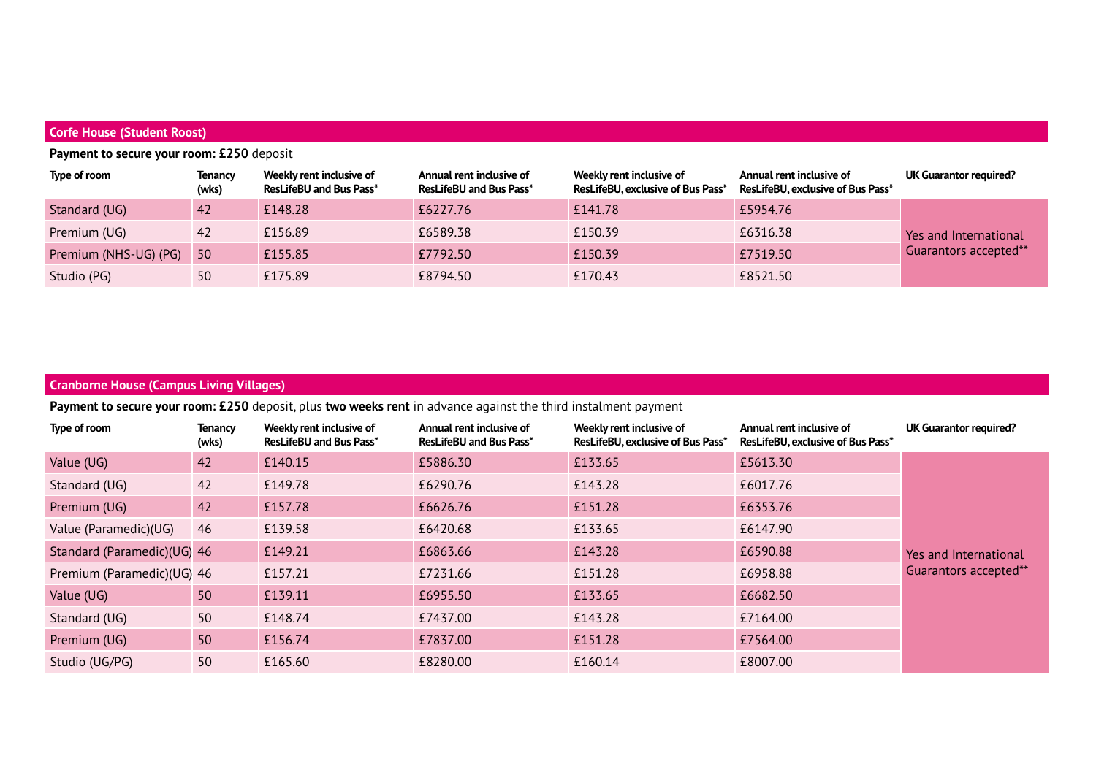## **Corfe House (Student Roost)**

# **Payment to secure your room: £250** deposit

| Type of room          | <b>Tenancy</b><br>(wks) | Weekly rent inclusive of<br><b>ResLifeBU and Bus Pass*</b> | Annual rent inclusive of<br><b>ResLifeBU and Bus Pass*</b> | Weekly rent inclusive of<br>ResLifeBU, exclusive of Bus Pass* | Annual rent inclusive of<br>ResLifeBU, exclusive of Bus Pass* | UK Guarantor required?       |
|-----------------------|-------------------------|------------------------------------------------------------|------------------------------------------------------------|---------------------------------------------------------------|---------------------------------------------------------------|------------------------------|
| Standard (UG)         | 42                      | £148.28                                                    | £6227.76                                                   | £141.78                                                       | £5954.76                                                      |                              |
| Premium (UG)          | -42                     | £156.89                                                    | £6589.38                                                   | £150.39                                                       | £6316.38                                                      | <b>Yes and International</b> |
| Premium (NHS-UG) (PG) | $\overline{50}$         | £155.85                                                    | £7792.50                                                   | £150.39                                                       | £7519.50                                                      | Guarantors accepted**        |
| Studio (PG)           | 50                      | £175.89                                                    | £8794.50                                                   | £170.43                                                       | £8521.50                                                      |                              |

## **Cranborne House (Campus Living Villages)**

**Payment to secure your room: £250** deposit, plus **two weeks rent** in advance against the third instalment payment

| Type of room                | <b>Tenancy</b><br>(wks) | Weekly rent inclusive of<br><b>ResLifeBU and Bus Pass*</b> | Annual rent inclusive of<br><b>ResLifeBU and Bus Pass*</b> | Weekly rent inclusive of<br>ResLifeBU, exclusive of Bus Pass* | Annual rent inclusive of<br>ResLifeBU, exclusive of Bus Pass* | UK Guarantor required? |
|-----------------------------|-------------------------|------------------------------------------------------------|------------------------------------------------------------|---------------------------------------------------------------|---------------------------------------------------------------|------------------------|
| Value (UG)                  | 42                      | £140.15                                                    | £5886.30                                                   | £133.65                                                       | £5613.30                                                      |                        |
| Standard (UG)               | 42                      | £149.78                                                    | £6290.76                                                   | £143.28                                                       | £6017.76                                                      |                        |
| Premium (UG)                | 42                      | £157.78                                                    | £6626.76                                                   | £151.28                                                       | £6353.76                                                      |                        |
| Value (Paramedic)(UG)       | 46                      | £139.58                                                    | £6420.68                                                   | £133.65                                                       | £6147.90                                                      |                        |
| Standard (Paramedic)(UG) 46 |                         | £149.21                                                    | £6863.66                                                   | £143.28                                                       | £6590.88                                                      | Yes and International  |
| Premium (Paramedic)(UG) 46  |                         | £157.21                                                    | £7231.66                                                   | £151.28                                                       | £6958.88                                                      | Guarantors accepted**  |
| Value (UG)                  | 50                      | £139.11                                                    | £6955.50                                                   | £133.65                                                       | £6682.50                                                      |                        |
| Standard (UG)               | 50                      | £148.74                                                    | £7437.00                                                   | £143.28                                                       | £7164.00                                                      |                        |
| Premium (UG)                | 50                      | £156.74                                                    | £7837.00                                                   | £151.28                                                       | £7564.00                                                      |                        |
| Studio (UG/PG)              | 50                      | £165.60                                                    | £8280.00                                                   | £160.14                                                       | £8007.00                                                      |                        |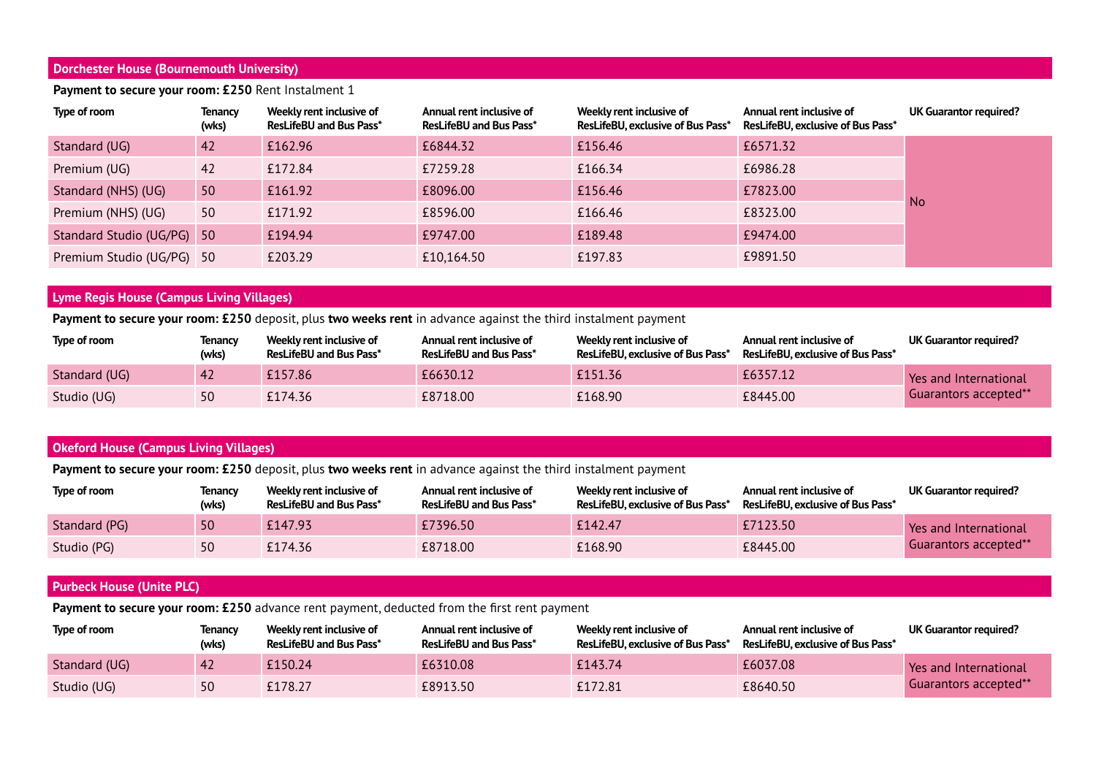## **Dorchester House (Bournemouth University)**

Payment to secure your room: £250 Rent Instalment 1

# Type of room **Tenancy** Weekly rent inclusive of Annual rent inclusive of Weekly rent inclusive of Annual rent inclusive of UK Guarantor required? **(wks) ResLifeBU and Bus Pass\* ResLifeBU and Bus Pass\* ResLifeBU, exclusive of Bus Pass\* ResLifeBU, exclusive of Bus Pass\***  Standard (UG) 42 £162.96 £6844.32 £156.46 £6571.32 No Premium (UG) 42 £172.84 £7259.28 £166.34 £6986.28 Standard (NHS) (UG) 50 £161.92 £8096.00 £7823.00 £156.46 £7823.00 Premium (NHS) (UG) 50 £171.92 £8596.00 £166.46 £8323.00 Standard Studio (UG/PG) 50 £194.94 **£9747.00** £9747.00 £189.48 £9474.00 Premium Studio (UG/PG) 50  $\overline{203.29}$   $\overline{10,164.50}$   $\overline{197.83}$   $\overline{197.83}$   $\overline{197.83}$

## **Lyme Regis House (Campus Living Villages)**

**Payment to secure your room: £250** deposit, plus **two weeks rent** in advance against the third instalment payment

| Type of room  | Tenancy<br>(wks) | Weekly rent inclusive of<br><b>ResLifeBU and Bus Pass*</b> | Annual rent inclusive of<br><b>ResLifeBU and Bus Pass*</b> | Weekly rent inclusive of<br>ResLifeBU, exclusive of Bus Pass* | Annual rent inclusive of<br>ResLifeBU, exclusive of Bus Pass* | UK Guarantor required?                |
|---------------|------------------|------------------------------------------------------------|------------------------------------------------------------|---------------------------------------------------------------|---------------------------------------------------------------|---------------------------------------|
| Standard (UG) |                  | £157.86                                                    | £6630.12                                                   | £151.36                                                       | £6357.12                                                      | <b>Printing</b> Yes and International |
| Studio (UG)   | 50               | £174.36                                                    | £8718.00                                                   | £168.90                                                       | £8445.00                                                      | Guarantors accepted**                 |

## **Okeford House (Campus Living Villages)**

**Payment to secure your room: £250** deposit, plus **two weeks rent** in advance against the third instalment payment

| Type of room  | Tenancv<br>(wks) | Weekly rent inclusive of<br><b>ResLifeBU and Bus Pass*</b> | Annual rent inclusive of<br><b>ResLifeBU and Bus Pass*</b> | Weekly rent inclusive of<br><b>ResLifeBU, exclusive of Bus Pass*</b> | Annual rent inclusive of<br><b>ResLifeBU, exclusive of Bus Pass*</b> | UK Guarantor required? |
|---------------|------------------|------------------------------------------------------------|------------------------------------------------------------|----------------------------------------------------------------------|----------------------------------------------------------------------|------------------------|
| Standard (PG) | 50               | £147.93                                                    | £7396.50                                                   | £142.47                                                              | £7123.50                                                             | Pes and International  |
| Studio (PG)   | 50               | £174.36                                                    | £8718.00                                                   | £168.90                                                              | £8445.00                                                             | Guarantors accepted**  |

#### **Purbeck House (Unite PLC)**

**Payment to secure your room: £250** advance rent payment, deducted from the first rent payment

| Type of room  | Tenancy<br>(wks) | Weekly rent inclusive of<br><b>ResLifeBU and Bus Pass*</b> | Annual rent inclusive of<br><b>ResLifeBU and Bus Pass*</b> | Weekly rent inclusive of<br>ResLifeBU, exclusive of Bus Pass* | Annual rent inclusive of<br>ResLifeBU, exclusive of Bus Pass* | UK Guarantor required?                                                                                                                                                                                                              |
|---------------|------------------|------------------------------------------------------------|------------------------------------------------------------|---------------------------------------------------------------|---------------------------------------------------------------|-------------------------------------------------------------------------------------------------------------------------------------------------------------------------------------------------------------------------------------|
| Standard (UG) |                  | £150.24                                                    | £6310.08                                                   | £143.74                                                       | £6037.08                                                      | <b>Printing Printiple Setup</b> Printiple Printiple Printiple Printiple Printiple Printiple Printiple Printiple Printiple Printiple Printiple Printiple Printiple Printiple Printiple Printiple Printiple Printiple Printiple Print |
| Studio (UG)   |                  | £178.27                                                    | £8913.50                                                   | £172.81                                                       | £8640.50                                                      | "Guarantors accepted**                                                                                                                                                                                                              |